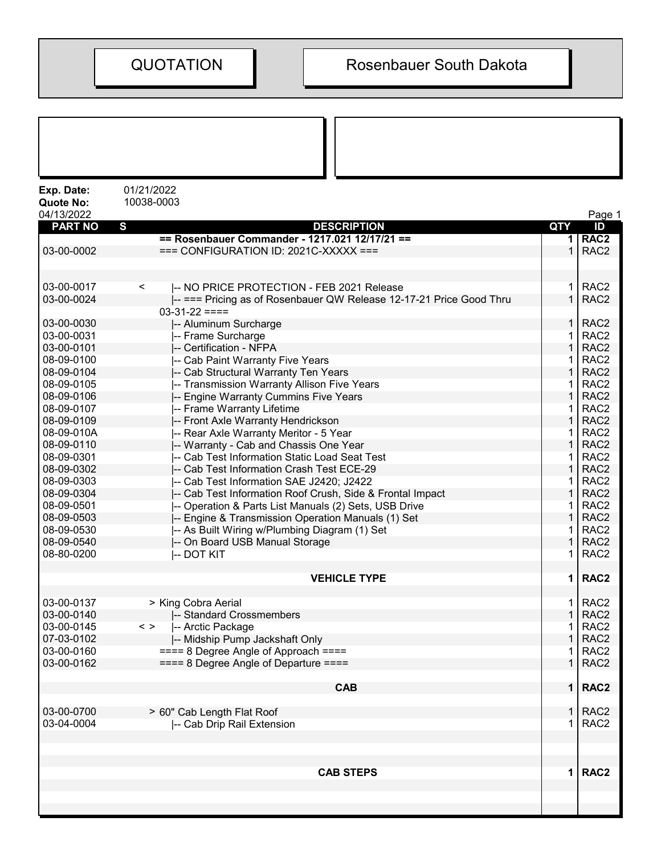| Exp. Date:<br><b>Quote No:</b><br>04/13/2022 | 01/21/2022<br>10038-0003                                            |              | Page 1           |
|----------------------------------------------|---------------------------------------------------------------------|--------------|------------------|
| <b>PART NO</b>                               | $\mathbf{s}$<br><b>DESCRIPTION</b>                                  | QTY          | ID               |
|                                              | == Rosenbauer Commander - 1217.021 12/17/21 ==                      |              | 1 RAC2           |
| 03-00-0002                                   | $==$ CONFIGURATION ID: 2021C-XXXXX $==$                             | $\mathbf{1}$ | RAC <sub>2</sub> |
|                                              |                                                                     |              |                  |
| 03-00-0017                                   | -- NO PRICE PROTECTION - FEB 2021 Release<br>$\,<\,$                | $\mathbf 1$  | RAC <sub>2</sub> |
| 03-00-0024                                   | -- === Pricing as of Rosenbauer QW Release 12-17-21 Price Good Thru | $\mathbf{1}$ | RAC <sub>2</sub> |
|                                              | $03-31-22 ==$                                                       |              |                  |
| 03-00-0030                                   | -- Aluminum Surcharge                                               | 1            | RAC <sub>2</sub> |
| 03-00-0031                                   | -- Frame Surcharge                                                  | $\mathbf{1}$ | RAC <sub>2</sub> |
| 03-00-0101                                   | -- Certification - NFPA                                             | $\mathbf{1}$ | RAC <sub>2</sub> |
| 08-09-0100                                   | -- Cab Paint Warranty Five Years                                    | 1            | RAC <sub>2</sub> |
| 08-09-0104                                   | -- Cab Structural Warranty Ten Years                                | 1            | RAC <sub>2</sub> |
| 08-09-0105                                   | -- Transmission Warranty Allison Five Years                         | 1            | RAC <sub>2</sub> |
| 08-09-0106                                   | -- Engine Warranty Cummins Five Years                               | $\mathbf{1}$ | RAC <sub>2</sub> |
| 08-09-0107                                   | -- Frame Warranty Lifetime                                          | 1            | RAC <sub>2</sub> |
| 08-09-0109                                   | -- Front Axle Warranty Hendrickson                                  | $\mathbf{1}$ | RAC <sub>2</sub> |
| 08-09-010A                                   | -- Rear Axle Warranty Meritor - 5 Year                              | 1            | RAC <sub>2</sub> |
| 08-09-0110                                   | -- Warranty - Cab and Chassis One Year                              | 1            | RAC <sub>2</sub> |
| 08-09-0301                                   | -- Cab Test Information Static Load Seat Test                       | 1            | RAC <sub>2</sub> |
| 08-09-0302                                   | -- Cab Test Information Crash Test ECE-29                           | 1            | RAC <sub>2</sub> |
| 08-09-0303                                   | -- Cab Test Information SAE J2420; J2422                            | 1            | RAC <sub>2</sub> |
| 08-09-0304                                   | -- Cab Test Information Roof Crush, Side & Frontal Impact           | $\mathbf{1}$ | RAC <sub>2</sub> |
| 08-09-0501                                   | -- Operation & Parts List Manuals (2) Sets, USB Drive               | 1            | RAC <sub>2</sub> |
| 08-09-0503                                   | -- Engine & Transmission Operation Manuals (1) Set                  | $\mathbf{1}$ | RAC <sub>2</sub> |
| 08-09-0530                                   |                                                                     | 1            | RAC <sub>2</sub> |
| 08-09-0540                                   | -- As Built Wiring w/Plumbing Diagram (1) Set                       | 1            | RAC <sub>2</sub> |
| 08-80-0200                                   | -- On Board USB Manual Storage                                      |              | RAC <sub>2</sub> |
|                                              | -- DOT KIT                                                          | 1.           |                  |
|                                              | <b>VEHICLE TYPE</b>                                                 | $\mathbf 1$  | RAC <sub>2</sub> |
| 03-00-0137                                   | > King Cobra Aerial                                                 |              | $1$ RAC2         |
| 03-00-0140                                   | -- Standard Crossmembers                                            | $\mathbf{1}$ | RAC <sub>2</sub> |
| 03-00-0145                                   | $\langle$ ><br>-- Arctic Package                                    | 1.           | RAC <sub>2</sub> |
| 07-03-0102                                   | -- Midship Pump Jackshaft Only                                      | $\mathbf{1}$ | RAC <sub>2</sub> |
| 03-00-0160                                   | $=== 8$ Degree Angle of Approach $===$                              | 1            | RAC <sub>2</sub> |
| 03-00-0162                                   | $== = 8$ Degree Angle of Departure $== =$                           | $\mathbf 1$  | RAC <sub>2</sub> |
|                                              | <b>CAB</b>                                                          |              | 1   RAC2         |
| 03-00-0700                                   |                                                                     |              | $1$ RAC2         |
| 03-04-0004                                   | > 60" Cab Length Flat Roof<br>-- Cab Drip Rail Extension            | $\mathbf{1}$ | RAC <sub>2</sub> |
|                                              |                                                                     |              |                  |
|                                              |                                                                     |              |                  |
|                                              | <b>CAB STEPS</b>                                                    |              | 1   RAC2         |
|                                              |                                                                     |              |                  |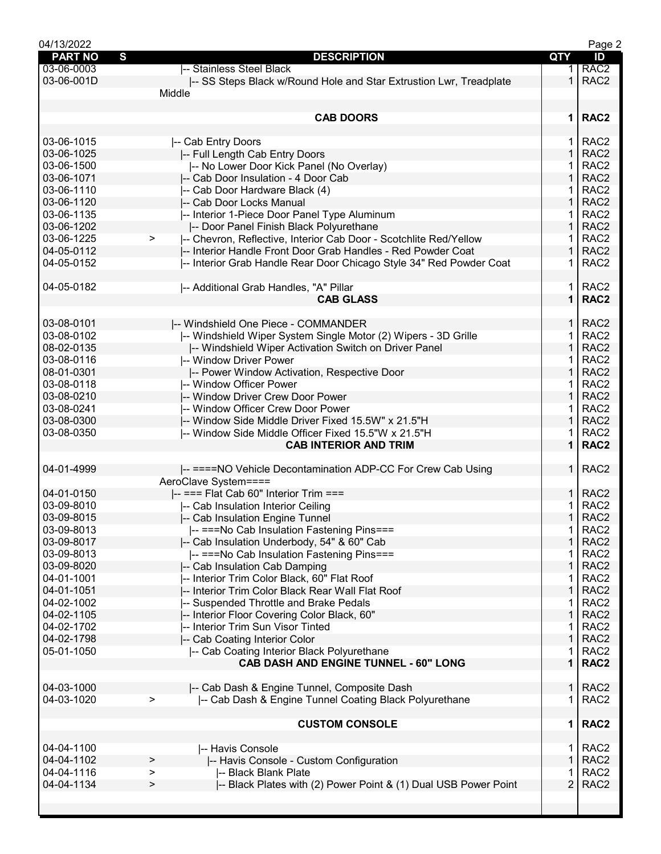| 04/13/2022     |                                                                        |                | Page 2           |
|----------------|------------------------------------------------------------------------|----------------|------------------|
| <b>PART NO</b> | S<br><b>DESCRIPTION</b>                                                | QTY            | ID               |
| 03-06-0003     | -- Stainless Steel Black                                               | 1.             | RAC <sub>2</sub> |
| 03-06-001D     | -- SS Steps Black w/Round Hole and Star Extrustion Lwr, Treadplate     | 1.             | RAC <sub>2</sub> |
|                | Middle                                                                 |                |                  |
|                |                                                                        |                |                  |
|                |                                                                        |                |                  |
|                | <b>CAB DOORS</b>                                                       | $\mathbf 1$    | RAC <sub>2</sub> |
|                |                                                                        |                |                  |
| 03-06-1015     | -- Cab Entry Doors                                                     | 1              | RAC <sub>2</sub> |
| 03-06-1025     | -- Full Length Cab Entry Doors                                         | $\mathbf{1}$   | RAC <sub>2</sub> |
| 03-06-1500     | -- No Lower Door Kick Panel (No Overlay)                               |                | RAC <sub>2</sub> |
| 03-06-1071     | -- Cab Door Insulation - 4 Door Cab                                    | 1              | RAC <sub>2</sub> |
| 03-06-1110     | -- Cab Door Hardware Black (4)                                         | 1              | RAC <sub>2</sub> |
| 03-06-1120     | -- Cab Door Locks Manual                                               | $\mathbf 1$    | RAC <sub>2</sub> |
| 03-06-1135     | -- Interior 1-Piece Door Panel Type Aluminum                           | 1              | RAC <sub>2</sub> |
| 03-06-1202     | -- Door Panel Finish Black Polyurethane                                | $\mathbf{1}$   | RAC <sub>2</sub> |
| 03-06-1225     | -- Chevron, Reflective, Interior Cab Door - Scotchlite Red/Yellow<br>> | 1              | RAC <sub>2</sub> |
|                |                                                                        | $\mathbf 1$    | RAC <sub>2</sub> |
| 04-05-0112     | -- Interior Handle Front Door Grab Handles - Red Powder Coat           |                |                  |
| 04-05-0152     | -- Interior Grab Handle Rear Door Chicago Style 34" Red Powder Coat    | 1.             | RAC <sub>2</sub> |
|                |                                                                        |                |                  |
| 04-05-0182     | -- Additional Grab Handles, "A" Pillar                                 | 1.             | RAC <sub>2</sub> |
|                | <b>CAB GLASS</b>                                                       | $\mathbf{1}$   | RAC <sub>2</sub> |
|                |                                                                        |                |                  |
| 03-08-0101     | -- Windshield One Piece - COMMANDER                                    | $\mathbf{1}$   | RAC <sub>2</sub> |
| 03-08-0102     | -- Windshield Wiper System Single Motor (2) Wipers - 3D Grille         | 1              | RAC <sub>2</sub> |
| 08-02-0135     | -- Windshield Wiper Activation Switch on Driver Panel                  | $\mathbf{1}$   | RAC <sub>2</sub> |
| 03-08-0116     | -- Window Driver Power                                                 |                | RAC <sub>2</sub> |
|                |                                                                        | 1              | RAC <sub>2</sub> |
| 08-01-0301     | -- Power Window Activation, Respective Door                            |                |                  |
| 03-08-0118     | -- Window Officer Power                                                | 1              | RAC <sub>2</sub> |
| 03-08-0210     | -- Window Driver Crew Door Power                                       | $\mathbf 1$    | RAC <sub>2</sub> |
| 03-08-0241     | -- Window Officer Crew Door Power                                      | 1              | RAC <sub>2</sub> |
| 03-08-0300     | -- Window Side Middle Driver Fixed 15.5W" x 21.5"H                     | $\mathbf{1}$   | RAC <sub>2</sub> |
| 03-08-0350     | -- Window Side Middle Officer Fixed 15.5"W x 21.5"H                    | 1              | RAC <sub>2</sub> |
|                | <b>CAB INTERIOR AND TRIM</b>                                           | $\mathbf 1$    | RAC <sub>2</sub> |
|                |                                                                        |                |                  |
| 04-01-4999     | -- ====NO Vehicle Decontamination ADP-CC For Crew Cab Using            | $\mathbf{1}$   | RAC <sub>2</sub> |
|                | AeroClave System====                                                   |                |                  |
| 04-01-0150     | -- === Flat Cab 60" Interior Trim ===                                  | $\mathbf{1}$   | RAC <sub>2</sub> |
| 03-09-8010     | -- Cab Insulation Interior Ceiling                                     | 1              | RAC <sub>2</sub> |
| 03-09-8015     | -- Cab Insulation Engine Tunnel                                        | 1              | RAC <sub>2</sub> |
| 03-09-8013     |                                                                        |                | RAC <sub>2</sub> |
|                | -- ===No Cab Insulation Fastening Pins===                              | 1.             |                  |
| 03-09-8017     | -- Cab Insulation Underbody, 54" & 60" Cab                             | 1              | RAC <sub>2</sub> |
| 03-09-8013     | -- ===No Cab Insulation Fastening Pins===                              |                | RAC <sub>2</sub> |
| 03-09-8020     | -- Cab Insulation Cab Damping                                          |                | RAC <sub>2</sub> |
| 04-01-1001     | -- Interior Trim Color Black, 60" Flat Roof                            | 1              | RAC <sub>2</sub> |
| 04-01-1051     | -- Interior Trim Color Black Rear Wall Flat Roof                       | 1              | RAC <sub>2</sub> |
| 04-02-1002     | -- Suspended Throttle and Brake Pedals                                 | 1              | RAC <sub>2</sub> |
| 04-02-1105     | -- Interior Floor Covering Color Black, 60"                            | $\mathbf{1}$   | RAC <sub>2</sub> |
| 04-02-1702     | -- Interior Trim Sun Visor Tinted                                      | 1              | RAC <sub>2</sub> |
| 04-02-1798     | -- Cab Coating Interior Color                                          | $\mathbf{1}$   | RAC <sub>2</sub> |
| 05-01-1050     | -- Cab Coating Interior Black Polyurethane                             | 1              | RAC <sub>2</sub> |
|                | CAB DASH AND ENGINE TUNNEL - 60" LONG                                  | 1              | RAC <sub>2</sub> |
|                |                                                                        |                |                  |
|                |                                                                        |                |                  |
| 04-03-1000     | -- Cab Dash & Engine Tunnel, Composite Dash                            | $\mathbf{1}$   | RAC <sub>2</sub> |
| 04-03-1020     | -- Cab Dash & Engine Tunnel Coating Black Polyurethane<br>>            | 1              | RAC <sub>2</sub> |
|                |                                                                        |                |                  |
|                | <b>CUSTOM CONSOLE</b>                                                  | 1              | RAC <sub>2</sub> |
|                |                                                                        |                |                  |
| 04-04-1100     | -- Havis Console                                                       | 1.             | RAC <sub>2</sub> |
| 04-04-1102     | -- Havis Console - Custom Configuration<br>>                           | $\mathbf{1}$   | RAC <sub>2</sub> |
| 04-04-1116     | -- Black Blank Plate<br>>                                              | 1              | RAC <sub>2</sub> |
| 04-04-1134     | -- Black Plates with (2) Power Point & (1) Dual USB Power Point<br>>   | $\overline{2}$ | RAC <sub>2</sub> |
|                |                                                                        |                |                  |
|                |                                                                        |                |                  |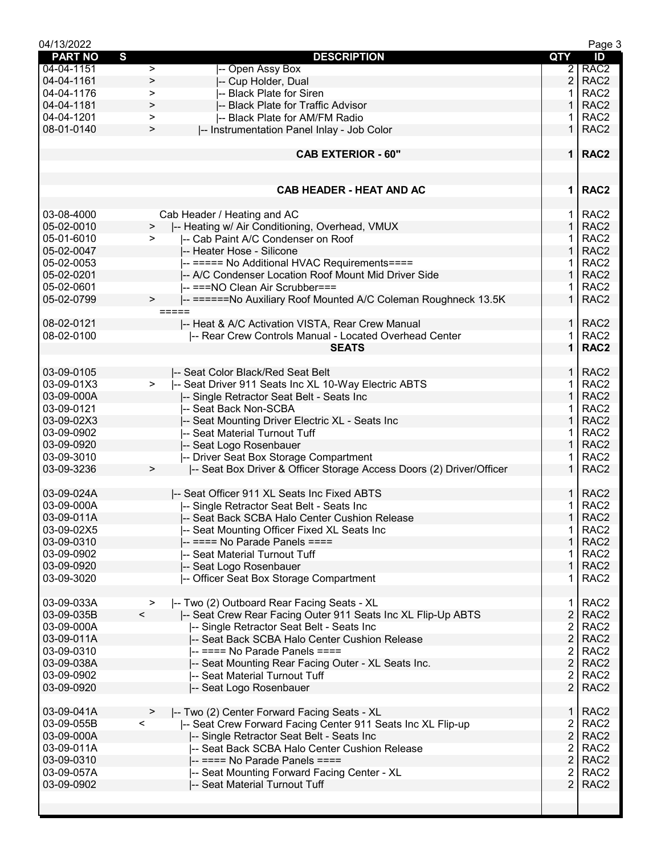| 04/13/2022     |                                                                                |                | Page 3           |
|----------------|--------------------------------------------------------------------------------|----------------|------------------|
| <b>PART NO</b> | S<br><b>DESCRIPTION</b>                                                        | <b>QTY</b>     | ID               |
| 04-04-1151     | -- Open Assy Box<br>$\geq$                                                     | $\overline{2}$ | RAC <sub>2</sub> |
| 04-04-1161     | -- Cup Holder, Dual<br>$\geq$                                                  | $\overline{2}$ | RAC <sub>2</sub> |
| 04-04-1176     | -- Black Plate for Siren<br>$\geq$                                             |                | RAC <sub>2</sub> |
| 04-04-1181     | -- Black Plate for Traffic Advisor<br>$\, > \,$                                | 1              | RAC <sub>2</sub> |
| 04-04-1201     | -- Black Plate for AM/FM Radio<br>$\,>$                                        |                | RAC <sub>2</sub> |
| 08-01-0140     | -- Instrumentation Panel Inlay - Job Color<br>$\,>$                            | $\mathbf 1$    | RAC <sub>2</sub> |
|                |                                                                                |                |                  |
|                | <b>CAB EXTERIOR - 60"</b>                                                      | $\mathbf 1$    | RAC <sub>2</sub> |
|                |                                                                                |                |                  |
|                |                                                                                |                |                  |
|                | <b>CAB HEADER - HEAT AND AC</b>                                                | 1              | RAC <sub>2</sub> |
|                |                                                                                |                |                  |
| 03-08-4000     | Cab Header / Heating and AC                                                    | 1              | RAC <sub>2</sub> |
| 05-02-0010     | -- Heating w/ Air Conditioning, Overhead, VMUX                                 | $\mathbf{1}$   | RAC <sub>2</sub> |
|                | >                                                                              | 1              | RAC <sub>2</sub> |
| 05-01-6010     | -- Cab Paint A/C Condenser on Roof<br>⋗                                        |                |                  |
| 05-02-0047     | -- Heater Hose - Silicone                                                      | $\mathbf 1$    | RAC <sub>2</sub> |
| 05-02-0053     | -- ===== No Additional HVAC Requirements====                                   | 1              | RAC <sub>2</sub> |
| 05-02-0201     | -- A/C Condenser Location Roof Mount Mid Driver Side                           | 1              | RAC <sub>2</sub> |
| 05-02-0601     | I-- ===NO Clean Air Scrubber===                                                |                | RAC <sub>2</sub> |
| 05-02-0799     | -- ======No Auxiliary Roof Mounted A/C Coleman Roughneck 13.5K<br>$\, > \,$    | $\mathbf 1$    | RAC <sub>2</sub> |
|                | $=====$                                                                        |                |                  |
| 08-02-0121     | -- Heat & A/C Activation VISTA, Rear Crew Manual                               | $\mathbf{1}$   | RAC <sub>2</sub> |
| 08-02-0100     | -- Rear Crew Controls Manual - Located Overhead Center                         | 1              | RAC <sub>2</sub> |
|                | <b>SEATS</b>                                                                   | $\mathbf{1}$   | RAC <sub>2</sub> |
|                |                                                                                |                |                  |
| 03-09-0105     | -- Seat Color Black/Red Seat Belt                                              | 1.             | RAC <sub>2</sub> |
| 03-09-01X3     | $\geq$<br>-- Seat Driver 911 Seats Inc XL 10-Way Electric ABTS                 | 1              | RAC <sub>2</sub> |
| 03-09-000A     | -- Single Retractor Seat Belt - Seats Inc                                      | 1              | RAC <sub>2</sub> |
|                |                                                                                |                |                  |
| 03-09-0121     | -- Seat Back Non-SCBA                                                          |                | RAC <sub>2</sub> |
| 03-09-02X3     | -- Seat Mounting Driver Electric XL - Seats Inc                                | 1              | RAC <sub>2</sub> |
| 03-09-0902     | -- Seat Material Turnout Tuff                                                  | 1              | RAC <sub>2</sub> |
| 03-09-0920     | -- Seat Logo Rosenbauer                                                        | $\mathbf{1}$   | RAC <sub>2</sub> |
| 03-09-3010     | -- Driver Seat Box Storage Compartment                                         | 1              | RAC <sub>2</sub> |
| 03-09-3236     | -- Seat Box Driver & Officer Storage Access Doors (2) Driver/Officer<br>$\, >$ | $\mathbf{1}$   | RAC <sub>2</sub> |
|                |                                                                                |                |                  |
| 03-09-024A     | -- Seat Officer 911 XL Seats Inc Fixed ABTS                                    | 1              | RAC <sub>2</sub> |
| 03-09-000A     | -- Single Retractor Seat Belt - Seats Inc                                      | 1              | RAC <sub>2</sub> |
| 03-09-011A     | -- Seat Back SCBA Halo Center Cushion Release                                  | $\mathbf 1$    | RAC <sub>2</sub> |
| 03-09-02X5     | -- Seat Mounting Officer Fixed XL Seats Inc                                    | 1              | RAC <sub>2</sub> |
| 03-09-0310     | $-$ ==== No Parade Panels ====                                                 | $\mathbf{1}$   | RAC <sub>2</sub> |
| 03-09-0902     | -- Seat Material Turnout Tuff                                                  | 1              | RAC <sub>2</sub> |
| 03-09-0920     |                                                                                | $\mathbf{1}$   | RAC <sub>2</sub> |
| 03-09-3020     | -- Seat Logo Rosenbauer<br>-- Officer Seat Box Storage Compartment             | 1              | RAC <sub>2</sub> |
|                |                                                                                |                |                  |
|                |                                                                                |                |                  |
| 03-09-033A     | -- Two (2) Outboard Rear Facing Seats - XL<br>$\geq$                           | 1.             | RAC <sub>2</sub> |
| 03-09-035B     | $\prec$<br>-- Seat Crew Rear Facing Outer 911 Seats Inc XL Flip-Up ABTS        | $\overline{2}$ | RAC <sub>2</sub> |
| 03-09-000A     | -- Single Retractor Seat Belt - Seats Inc                                      | $\overline{2}$ | RAC <sub>2</sub> |
| 03-09-011A     | -- Seat Back SCBA Halo Center Cushion Release                                  | $\overline{2}$ | RAC <sub>2</sub> |
| 03-09-0310     | -- ==== No Parade Panels ====                                                  | 2              | RAC <sub>2</sub> |
| 03-09-038A     | -- Seat Mounting Rear Facing Outer - XL Seats Inc.                             | $\overline{2}$ | RAC <sub>2</sub> |
| 03-09-0902     | -- Seat Material Turnout Tuff                                                  | 2              | RAC <sub>2</sub> |
| 03-09-0920     | -- Seat Logo Rosenbauer                                                        | $\overline{2}$ | RAC <sub>2</sub> |
|                |                                                                                |                |                  |
| 03-09-041A     | -- Two (2) Center Forward Facing Seats - XL<br>⋗                               | 1              | RAC <sub>2</sub> |
| 03-09-055B     | $\,<\,$<br>-- Seat Crew Forward Facing Center 911 Seats Inc XL Flip-up         | $\overline{2}$ | RAC <sub>2</sub> |
| 03-09-000A     | -- Single Retractor Seat Belt - Seats Inc                                      | $\overline{2}$ | RAC <sub>2</sub> |
| 03-09-011A     | -- Seat Back SCBA Halo Center Cushion Release                                  | 2              | RAC <sub>2</sub> |
| 03-09-0310     | $-$ ==== No Parade Panels ====                                                 | $\overline{2}$ | RAC <sub>2</sub> |
|                |                                                                                |                |                  |
| 03-09-057A     | -- Seat Mounting Forward Facing Center - XL                                    | 2              | RAC <sub>2</sub> |
| 03-09-0902     | -- Seat Material Turnout Tuff                                                  | $\overline{2}$ | RAC <sub>2</sub> |
|                |                                                                                |                |                  |
|                |                                                                                |                |                  |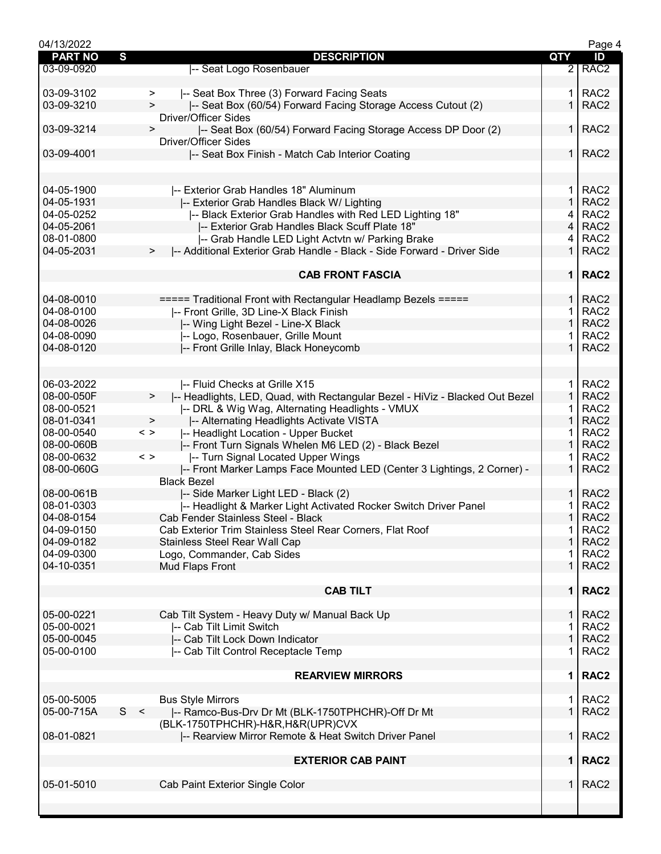| 04/13/2022     |                                                                                   |                | Page 4           |
|----------------|-----------------------------------------------------------------------------------|----------------|------------------|
| <b>PART NO</b> | S<br><b>DESCRIPTION</b>                                                           | QTY            | ID               |
| 03-09-0920     | -- Seat Logo Rosenbauer                                                           | $\overline{2}$ | RAC <sub>2</sub> |
|                |                                                                                   |                |                  |
| 03-09-3102     | -- Seat Box Three (3) Forward Facing Seats<br>>                                   | 1.             | RAC <sub>2</sub> |
| 03-09-3210     | -- Seat Box (60/54) Forward Facing Storage Access Cutout (2)<br>$\geq$            | $\mathbf 1$    | RAC <sub>2</sub> |
|                | <b>Driver/Officer Sides</b>                                                       |                |                  |
| 03-09-3214     | -- Seat Box (60/54) Forward Facing Storage Access DP Door (2)<br>$\,$             | 1 I            | RAC <sub>2</sub> |
|                | <b>Driver/Officer Sides</b>                                                       |                |                  |
| 03-09-4001     | -- Seat Box Finish - Match Cab Interior Coating                                   | 1 <sup>1</sup> | RAC <sub>2</sub> |
|                |                                                                                   |                |                  |
|                |                                                                                   |                |                  |
| 04-05-1900     | -- Exterior Grab Handles 18" Aluminum                                             | 1.             | RAC <sub>2</sub> |
| 04-05-1931     | -- Exterior Grab Handles Black W/ Lighting                                        | 1              | RAC <sub>2</sub> |
| 04-05-0252     | I-- Black Exterior Grab Handles with Red LED Lighting 18"                         | 4              | RAC <sub>2</sub> |
| 04-05-2061     | -- Exterior Grab Handles Black Scuff Plate 18"                                    | $\overline{4}$ | RAC <sub>2</sub> |
| 08-01-0800     | -- Grab Handle LED Light Actvtn w/ Parking Brake                                  | 4              | RAC <sub>2</sub> |
| 04-05-2031     | -- Additional Exterior Grab Handle - Black - Side Forward - Driver Side<br>>      | $\mathbf 1$    | RAC <sub>2</sub> |
|                |                                                                                   |                |                  |
|                | <b>CAB FRONT FASCIA</b>                                                           |                | 1   RAC2         |
|                |                                                                                   |                |                  |
| 04-08-0010     | ===== Traditional Front with Rectangular Headlamp Bezels =====                    | 1 I            | RAC <sub>2</sub> |
| 04-08-0100     |                                                                                   |                | RAC <sub>2</sub> |
|                | -- Front Grille, 3D Line-X Black Finish                                           | 1              | RAC <sub>2</sub> |
| 04-08-0026     | -- Wing Light Bezel - Line-X Black                                                |                |                  |
| 04-08-0090     | -- Logo, Rosenbauer, Grille Mount                                                 | 1              | RAC <sub>2</sub> |
| 04-08-0120     | -- Front Grille Inlay, Black Honeycomb                                            | $\mathbf 1$    | RAC <sub>2</sub> |
|                |                                                                                   |                |                  |
|                |                                                                                   |                |                  |
| 06-03-2022     | -- Fluid Checks at Grille X15                                                     | 1.             | RAC <sub>2</sub> |
| 08-00-050F     | -- Headlights, LED, Quad, with Rectangular Bezel - HiViz - Blacked Out Bezel<br>> | $\mathbf 1$    | RAC <sub>2</sub> |
| 08-00-0521     | -- DRL & Wig Wag, Alternating Headlights - VMUX                                   |                | RAC <sub>2</sub> |
| 08-01-0341     | -- Alternating Headlights Activate VISTA<br>$\, > \,$                             | 1              | RAC <sub>2</sub> |
| 08-00-0540     | $\langle$ $>$<br>-- Headlight Location - Upper Bucket                             | 1              | RAC <sub>2</sub> |
| 08-00-060B     | -- Front Turn Signals Whelen M6 LED (2) - Black Bezel                             | 1              | RAC <sub>2</sub> |
| 08-00-0632     | -- Turn Signal Located Upper Wings<br>$\langle$ $>$                               |                | RAC <sub>2</sub> |
| 08-00-060G     | -- Front Marker Lamps Face Mounted LED (Center 3 Lightings, 2 Corner) -           | $\mathbf 1$    | RAC <sub>2</sub> |
|                | <b>Black Bezel</b>                                                                |                |                  |
| 08-00-061B     | I-- Side Marker Light LED - Black (2)                                             | $\mathbf{1}$   | RAC <sub>2</sub> |
| 08-01-0303     | -- Headlight & Marker Light Activated Rocker Switch Driver Panel                  |                | RAC <sub>2</sub> |
| 04-08-0154     | Cab Fender Stainless Steel - Black                                                | 1 <sup>1</sup> | RAC <sub>2</sub> |
| 04-09-0150     | Cab Exterior Trim Stainless Steel Rear Corners, Flat Roof                         | 1.             | RAC <sub>2</sub> |
| 04-09-0182     | <b>Stainless Steel Rear Wall Cap</b>                                              | $\mathbf 1$    | RAC <sub>2</sub> |
| 04-09-0300     | Logo, Commander, Cab Sides                                                        | 1              | RAC <sub>2</sub> |
| 04-10-0351     | Mud Flaps Front                                                                   | $\mathbf{1}$   | RAC <sub>2</sub> |
|                |                                                                                   |                |                  |
|                | <b>CAB TILT</b>                                                                   |                | 1   RAC2         |
|                |                                                                                   |                |                  |
| 05-00-0221     | Cab Tilt System - Heavy Duty w/ Manual Back Up                                    | $\mathbf{1}$   | RAC <sub>2</sub> |
| 05-00-0021     | -- Cab Tilt Limit Switch                                                          | $\mathbf{1}$   | RAC <sub>2</sub> |
| 05-00-0045     | -- Cab Tilt Lock Down Indicator                                                   | $\mathbf{1}$   | RAC <sub>2</sub> |
| 05-00-0100     | -- Cab Tilt Control Receptacle Temp                                               | 1              | RAC <sub>2</sub> |
|                |                                                                                   |                |                  |
|                | <b>REARVIEW MIRRORS</b>                                                           | $\mathbf 1$    | RAC <sub>2</sub> |
|                |                                                                                   |                |                  |
| 05-00-5005     | <b>Bus Style Mirrors</b>                                                          | 1.             | RAC <sub>2</sub> |
| 05-00-715A     | S <<br> -- Ramco-Bus-Drv Dr Mt (BLK-1750TPHCHR)-Off Dr Mt                         | $\mathbf 1$    | RAC <sub>2</sub> |
|                |                                                                                   |                |                  |
| 08-01-0821     | (BLK-1750TPHCHR)-H&R, H&R(UPR)CVX                                                 | 1              | RAC <sub>2</sub> |
|                | -- Rearview Mirror Remote & Heat Switch Driver Panel                              |                |                  |
|                |                                                                                   | 1 <sup>1</sup> |                  |
|                | <b>EXTERIOR CAB PAINT</b>                                                         |                | RAC <sub>2</sub> |
|                |                                                                                   |                |                  |
| 05-01-5010     | Cab Paint Exterior Single Color                                                   | $\mathbf{1}$   | RAC <sub>2</sub> |
|                |                                                                                   |                |                  |
|                |                                                                                   |                |                  |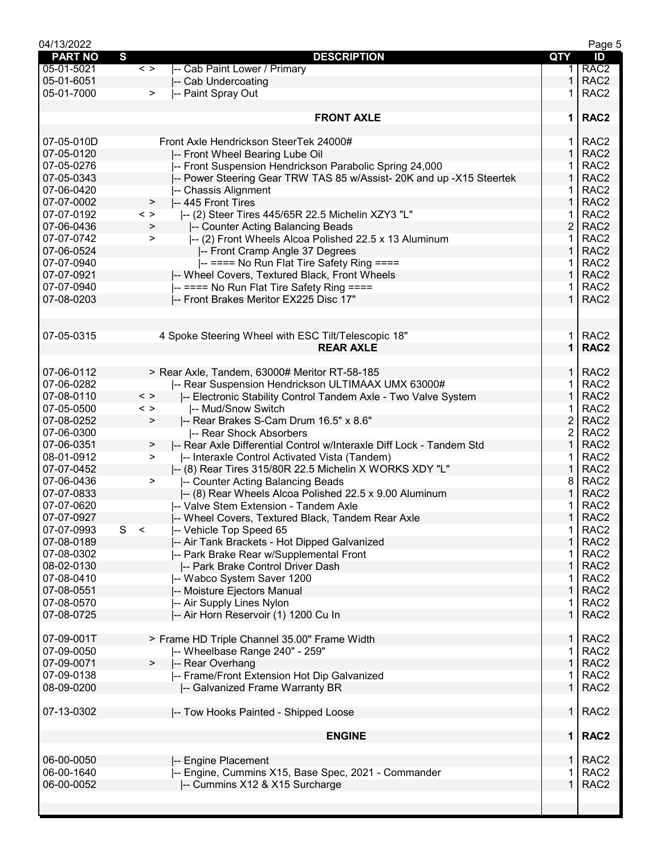| 04/13/2022     |               |                                                                      |                | Page 5           |
|----------------|---------------|----------------------------------------------------------------------|----------------|------------------|
| <b>PART NO</b> | S             | <b>DESCRIPTION</b>                                                   | QTY            | ID               |
| 05-01-5021     | $\langle$ >   | -- Cab Paint Lower / Primary                                         | 1.             | RAC <sub>2</sub> |
| 05-01-6051     |               | -- Cab Undercoating                                                  | 1              | RAC <sub>2</sub> |
| 05-01-7000     | $\geq$        | -- Paint Spray Out                                                   | 1              | RAC <sub>2</sub> |
|                |               |                                                                      |                |                  |
|                |               | <b>FRONT AXLE</b>                                                    | $\mathbf 1$    | RAC <sub>2</sub> |
|                |               |                                                                      |                |                  |
| 07-05-010D     |               | Front Axle Hendrickson SteerTek 24000#                               | 1.             | RAC <sub>2</sub> |
| 07-05-0120     |               | -- Front Wheel Bearing Lube Oil                                      | 1              | RAC <sub>2</sub> |
| 07-05-0276     |               | -- Front Suspension Hendrickson Parabolic Spring 24,000              |                | RAC <sub>2</sub> |
| 07-05-0343     |               |                                                                      | 1              | RAC <sub>2</sub> |
|                |               | -- Power Steering Gear TRW TAS 85 w/Assist- 20K and up -X15 Steertek |                |                  |
| 07-06-0420     |               | -- Chassis Alignment                                                 | 1              | RAC <sub>2</sub> |
| 07-07-0002     | >             | -- 445 Front Tires                                                   | 1              | RAC <sub>2</sub> |
| 07-07-0192     | $\langle$ >   | -- (2) Steer Tires 445/65R 22.5 Michelin XZY3 "L"                    | 1              | RAC <sub>2</sub> |
| 07-06-0436     | >             | -- Counter Acting Balancing Beads                                    | $\overline{2}$ | RAC <sub>2</sub> |
| 07-07-0742     | $\, > \,$     | -- (2) Front Wheels Alcoa Polished 22.5 x 13 Aluminum                | 1              | RAC <sub>2</sub> |
| 07-06-0524     |               | -- Front Cramp Angle 37 Degrees                                      | 1              | RAC <sub>2</sub> |
| 07-07-0940     |               | -- ==== No Run Flat Tire Safety Ring ====                            | 1              | RAC <sub>2</sub> |
| 07-07-0921     |               | -- Wheel Covers, Textured Black, Front Wheels                        | 1              | RAC <sub>2</sub> |
| 07-07-0940     |               | -- ==== No Run Flat Tire Safety Ring ====                            | 1              | RAC <sub>2</sub> |
| 07-08-0203     |               | -- Front Brakes Meritor EX225 Disc 17"                               | 1              | RAC <sub>2</sub> |
|                |               |                                                                      |                |                  |
|                |               |                                                                      |                |                  |
| 07-05-0315     |               | 4 Spoke Steering Wheel with ESC Tilt/Telescopic 18"                  | 1.             | RAC <sub>2</sub> |
|                |               | <b>REAR AXLE</b>                                                     | $\mathbf{1}$   | RAC <sub>2</sub> |
|                |               |                                                                      |                |                  |
| 07-06-0112     |               |                                                                      | 1.             | RAC <sub>2</sub> |
|                |               | > Rear Axle, Tandem, 63000# Meritor RT-58-185                        |                |                  |
| 07-06-0282     |               | -- Rear Suspension Hendrickson ULTIMAAX UMX 63000#                   | 1              | RAC <sub>2</sub> |
| 07-08-0110     | $\langle$ >   | -- Electronic Stability Control Tandem Axle - Two Valve System       | 1              | RAC <sub>2</sub> |
| 07-05-0500     | $\langle$ $>$ | -- Mud/Snow Switch                                                   | 1              | RAC <sub>2</sub> |
| 07-08-0252     | $\, > \,$     | -- Rear Brakes S-Cam Drum 16.5" x 8.6"                               | $\overline{2}$ | RAC <sub>2</sub> |
| 07-06-0300     |               | -- Rear Shock Absorbers                                              | $\overline{c}$ | RAC <sub>2</sub> |
| 07-06-0351     | >             | -- Rear Axle Differential Control w/Interaxle Diff Lock - Tandem Std | 1              | RAC <sub>2</sub> |
| 08-01-0912     | $\geq$        | -- Interaxle Control Activated Vista (Tandem)                        |                | RAC <sub>2</sub> |
| 07-07-0452     |               | I-- (8) Rear Tires 315/80R 22.5 Michelin X WORKS XDY "L"             | 1              | RAC <sub>2</sub> |
| 07-06-0436     | $\geq$        | -- Counter Acting Balancing Beads                                    | 8              | RAC <sub>2</sub> |
| 07-07-0833     |               | -- (8) Rear Wheels Alcoa Polished 22.5 x 9.00 Aluminum               | 1              | RAC <sub>2</sub> |
| 07-07-0620     |               | -- Valve Stem Extension - Tandem Axle                                |                | RAC <sub>2</sub> |
|                |               |                                                                      |                |                  |
| 07-07-0927     |               | -- Wheel Covers, Textured Black, Tandem Rear Axle                    | 1.             | RAC <sub>2</sub> |
| 07-07-0993     | S<br>$\prec$  | -- Vehicle Top Speed 65                                              | 1.             | RAC <sub>2</sub> |
| 07-08-0189     |               | -- Air Tank Brackets - Hot Dipped Galvanized                         | 1              | RAC <sub>2</sub> |
| 07-08-0302     |               | -- Park Brake Rear w/Supplemental Front                              |                | RAC <sub>2</sub> |
| 08-02-0130     |               | -- Park Brake Control Driver Dash                                    | 1              | RAC <sub>2</sub> |
| 07-08-0410     |               | -- Wabco System Saver 1200                                           | 1              | RAC <sub>2</sub> |
| 07-08-0551     |               | -- Moisture Ejectors Manual                                          | 1              | RAC <sub>2</sub> |
| 07-08-0570     |               | -- Air Supply Lines Nylon                                            | 1              | RAC <sub>2</sub> |
| 07-08-0725     |               | -- Air Horn Reservoir (1) 1200 Cu In                                 | $\mathbf{1}$   | RAC <sub>2</sub> |
|                |               |                                                                      |                |                  |
| 07-09-001T     |               | > Frame HD Triple Channel 35.00" Frame Width                         | $\mathbf{1}$   | RAC <sub>2</sub> |
| 07-09-0050     |               | -- Wheelbase Range 240" - 259"                                       | 1              | RAC <sub>2</sub> |
| 07-09-0071     | >             | -- Rear Overhang                                                     | 1              | RAC <sub>2</sub> |
| 07-09-0138     |               | -- Frame/Front Extension Hot Dip Galvanized                          | 1              | RAC <sub>2</sub> |
| 08-09-0200     |               | -- Galvanized Frame Warranty BR                                      | $\mathbf{1}$   | RAC <sub>2</sub> |
|                |               |                                                                      |                |                  |
| 07-13-0302     |               | -- Tow Hooks Painted - Shipped Loose                                 | 1 <sup>1</sup> | RAC <sub>2</sub> |
|                |               |                                                                      |                |                  |
|                |               | <b>ENGINE</b>                                                        |                | 1   RAC2         |
|                |               |                                                                      |                |                  |
| 06-00-0050     |               | -- Engine Placement                                                  | 1.             | RAC <sub>2</sub> |
| 06-00-1640     |               | -- Engine, Cummins X15, Base Spec, 2021 - Commander                  | 1              | RAC <sub>2</sub> |
| 06-00-0052     |               | -- Cummins X12 & X15 Surcharge                                       | 1              | RAC <sub>2</sub> |
|                |               |                                                                      |                |                  |
|                |               |                                                                      |                |                  |
|                |               |                                                                      |                |                  |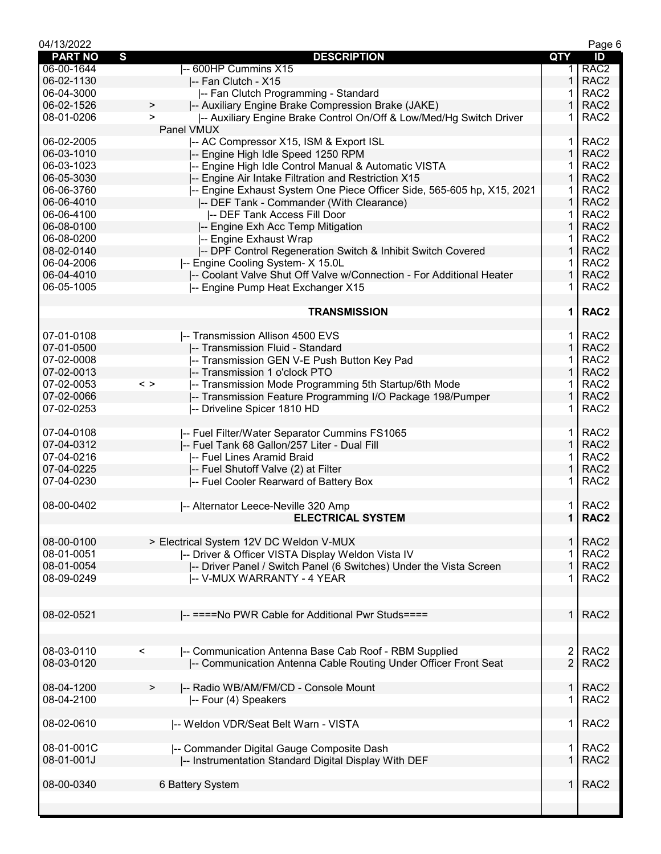| 04/13/2022     |                                                                              |                | Page 6           |
|----------------|------------------------------------------------------------------------------|----------------|------------------|
| <b>PART NO</b> | S<br><b>DESCRIPTION</b>                                                      | QTY            | ID               |
| 06-00-1644     | -- 600HP Cummins X15                                                         | 1.             | RAC <sub>2</sub> |
| 06-02-1130     | -- Fan Clutch - X15                                                          | 1              | RAC <sub>2</sub> |
| 06-04-3000     | -- Fan Clutch Programming - Standard                                         |                | RAC <sub>2</sub> |
| 06-02-1526     | -- Auxiliary Engine Brake Compression Brake (JAKE)<br>>                      | 1              | RAC <sub>2</sub> |
| 08-01-0206     | -- Auxiliary Engine Brake Control On/Off & Low/Med/Hg Switch Driver<br>$\,>$ | 1              | RAC <sub>2</sub> |
|                | Panel VMUX                                                                   |                |                  |
| 06-02-2005     | -- AC Compressor X15, ISM & Export ISL                                       | 1.             | RAC <sub>2</sub> |
| 06-03-1010     | -- Engine High Idle Speed 1250 RPM                                           | $\mathbf{1}$   | RAC <sub>2</sub> |
| 06-03-1023     | -- Engine High Idle Control Manual & Automatic VISTA                         | 1              | RAC <sub>2</sub> |
| 06-05-3030     | -- Engine Air Intake Filtration and Restriction X15                          | 1              | RAC <sub>2</sub> |
| 06-06-3760     | -- Engine Exhaust System One Piece Officer Side, 565-605 hp, X15, 2021       | 1              | RAC <sub>2</sub> |
| 06-06-4010     | -- DEF Tank - Commander (With Clearance)                                     | 1              | RAC <sub>2</sub> |
| 06-06-4100     | -- DEF Tank Access Fill Door                                                 | 1              | RAC <sub>2</sub> |
| 06-08-0100     | -- Engine Exh Acc Temp Mitigation                                            | $\mathbf{1}$   | RAC <sub>2</sub> |
| 06-08-0200     | -- Engine Exhaust Wrap                                                       | 1.             | RAC <sub>2</sub> |
| 08-02-0140     | -- DPF Control Regeneration Switch & Inhibit Switch Covered                  | 1              | RAC <sub>2</sub> |
| 06-04-2006     |                                                                              | 1              | RAC <sub>2</sub> |
|                | -- Engine Cooling System- X 15.0L                                            |                |                  |
| 06-04-4010     | -- Coolant Valve Shut Off Valve w/Connection - For Additional Heater         | 1              | RAC <sub>2</sub> |
| 06-05-1005     | -- Engine Pump Heat Exchanger X15                                            | 1              | RAC <sub>2</sub> |
|                |                                                                              |                |                  |
|                | <b>TRANSMISSION</b>                                                          | $\mathbf 1$    | RAC <sub>2</sub> |
|                |                                                                              |                |                  |
| 07-01-0108     | -- Transmission Allison 4500 EVS                                             | 1.             | RAC <sub>2</sub> |
| 07-01-0500     | -- Transmission Fluid - Standard                                             | $\mathbf{1}$   | RAC <sub>2</sub> |
| 07-02-0008     | -- Transmission GEN V-E Push Button Key Pad                                  | 1.             | RAC <sub>2</sub> |
| 07-02-0013     | -- Transmission 1 o'clock PTO                                                | 1              | RAC <sub>2</sub> |
| 07-02-0053     | -- Transmission Mode Programming 5th Startup/6th Mode<br>$\langle$ $>$       | 1              | RAC <sub>2</sub> |
| 07-02-0066     | -- Transmission Feature Programming I/O Package 198/Pumper                   | 1              | RAC <sub>2</sub> |
| 07-02-0253     | -- Driveline Spicer 1810 HD                                                  | 1              | RAC <sub>2</sub> |
|                |                                                                              |                |                  |
| 07-04-0108     | -- Fuel Filter/Water Separator Cummins FS1065                                | 1.             | RAC <sub>2</sub> |
| 07-04-0312     | -- Fuel Tank 68 Gallon/257 Liter - Dual Fill                                 | $\mathbf{1}$   | RAC <sub>2</sub> |
| 07-04-0216     | -- Fuel Lines Aramid Braid                                                   | 1              | RAC <sub>2</sub> |
| 07-04-0225     | -- Fuel Shutoff Valve (2) at Filter                                          | 1              | RAC <sub>2</sub> |
| 07-04-0230     | -- Fuel Cooler Rearward of Battery Box                                       |                | RAC <sub>2</sub> |
|                |                                                                              |                |                  |
| 08-00-0402     | -- Alternator Leece-Neville 320 Amp                                          | 1.             | RAC <sub>2</sub> |
|                | <b>ELECTRICAL SYSTEM</b>                                                     | $\mathbf 1$    | RAC <sub>2</sub> |
|                |                                                                              |                |                  |
| 08-00-0100     | > Electrical System 12V DC Weldon V-MUX                                      | $\mathbf{1}$   | RAC <sub>2</sub> |
| 08-01-0051     | -- Driver & Officer VISTA Display Weldon Vista IV                            | 1              | RAC <sub>2</sub> |
| 08-01-0054     | -- Driver Panel / Switch Panel (6 Switches) Under the Vista Screen           | 1              | RAC <sub>2</sub> |
| 08-09-0249     | -- V-MUX WARRANTY - 4 YEAR                                                   |                | RAC <sub>2</sub> |
|                |                                                                              |                |                  |
|                |                                                                              |                |                  |
| 08-02-0521     | -- ====No PWR Cable for Additional Pwr Studs====                             | 1 <sup>1</sup> | RAC <sub>2</sub> |
|                |                                                                              |                |                  |
|                |                                                                              |                |                  |
| 08-03-0110     | -- Communication Antenna Base Cab Roof - RBM Supplied<br>$\,<\,$             | $\overline{2}$ | RAC <sub>2</sub> |
| 08-03-0120     | -- Communication Antenna Cable Routing Under Officer Front Seat              | $\overline{2}$ | RAC <sub>2</sub> |
|                |                                                                              |                |                  |
| 08-04-1200     | -- Radio WB/AM/FM/CD - Console Mount<br>>                                    | 1 I            | RAC <sub>2</sub> |
| 08-04-2100     | -- Four (4) Speakers                                                         | 1              | RAC <sub>2</sub> |
|                |                                                                              |                |                  |
| 08-02-0610     | -- Weldon VDR/Seat Belt Warn - VISTA                                         | 1 <sup>1</sup> | RAC <sub>2</sub> |
|                |                                                                              |                |                  |
| 08-01-001C     | -- Commander Digital Gauge Composite Dash                                    | 1 <sup>1</sup> | RAC <sub>2</sub> |
| 08-01-001J     | -- Instrumentation Standard Digital Display With DEF                         | $\mathbf 1$    | RAC <sub>2</sub> |
|                |                                                                              |                |                  |
| 08-00-0340     | 6 Battery System                                                             | 1              | RAC <sub>2</sub> |
|                |                                                                              |                |                  |
|                |                                                                              |                |                  |
|                |                                                                              |                |                  |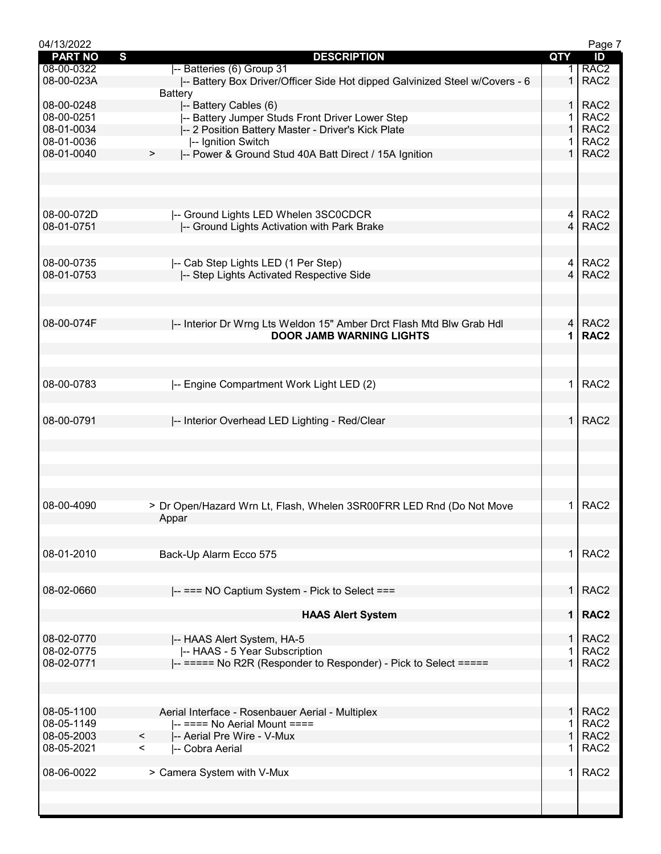| 04/13/2022     |                                                                             |                | Page 7           |
|----------------|-----------------------------------------------------------------------------|----------------|------------------|
| <b>PART NO</b> | S<br><b>DESCRIPTION</b>                                                     | QTY            | ID               |
| 08-00-0322     | -- Batteries (6) Group 31                                                   | 1.             | RAC <sub>2</sub> |
| 08-00-023A     | -- Battery Box Driver/Officer Side Hot dipped Galvinized Steel w/Covers - 6 | $\mathbf 1$    | RAC <sub>2</sub> |
|                |                                                                             |                |                  |
|                | <b>Battery</b>                                                              |                |                  |
| 08-00-0248     | -- Battery Cables (6)                                                       | 1.             | RAC <sub>2</sub> |
| 08-00-0251     | -- Battery Jumper Studs Front Driver Lower Step                             | 1.             | RAC <sub>2</sub> |
| 08-01-0034     | -- 2 Position Battery Master - Driver's Kick Plate                          | $\mathbf{1}$   | RAC <sub>2</sub> |
| 08-01-0036     | -- Ignition Switch                                                          | 1.             | RAC <sub>2</sub> |
|                |                                                                             | $\mathbf{1}$   |                  |
| 08-01-0040     | I-- Power & Ground Stud 40A Batt Direct / 15A Ignition<br>>                 |                | RAC <sub>2</sub> |
|                |                                                                             |                |                  |
|                |                                                                             |                |                  |
|                |                                                                             |                |                  |
|                |                                                                             |                |                  |
|                |                                                                             |                |                  |
| 08-00-072D     | -- Ground Lights LED Whelen 3SC0CDCR                                        |                | 4 RAC2           |
| 08-01-0751     | -- Ground Lights Activation with Park Brake                                 | $\overline{4}$ | RAC <sub>2</sub> |
|                |                                                                             |                |                  |
|                |                                                                             |                |                  |
| 08-00-0735     | -- Cab Step Lights LED (1 Per Step)                                         | 4              | RAC <sub>2</sub> |
|                |                                                                             | $\overline{4}$ |                  |
| 08-01-0753     | -- Step Lights Activated Respective Side                                    |                | RAC <sub>2</sub> |
|                |                                                                             |                |                  |
|                |                                                                             |                |                  |
|                |                                                                             |                |                  |
| 08-00-074F     |                                                                             | $\overline{4}$ | RAC <sub>2</sub> |
|                | -- Interior Dr Wrng Lts Weldon 15" Amber Drct Flash Mtd Blw Grab Hdl        |                |                  |
|                | <b>DOOR JAMB WARNING LIGHTS</b>                                             | 1              | RAC <sub>2</sub> |
|                |                                                                             |                |                  |
|                |                                                                             |                |                  |
|                |                                                                             |                |                  |
| 08-00-0783     | -- Engine Compartment Work Light LED (2)                                    | $\mathbf 1$    | RAC <sub>2</sub> |
|                |                                                                             |                |                  |
|                |                                                                             |                |                  |
|                |                                                                             |                |                  |
| 08-00-0791     | -- Interior Overhead LED Lighting - Red/Clear                               | $\mathbf{1}$   | RAC <sub>2</sub> |
|                |                                                                             |                |                  |
|                |                                                                             |                |                  |
|                |                                                                             |                |                  |
|                |                                                                             |                |                  |
|                |                                                                             |                |                  |
|                |                                                                             |                |                  |
|                |                                                                             |                |                  |
|                |                                                                             |                |                  |
| 08-00-4090     | > Dr Open/Hazard Wrn Lt, Flash, Whelen 3SR00FRR LED Rnd (Do Not Move        | $\mathbf 1$    | RAC <sub>2</sub> |
|                | Appar                                                                       |                |                  |
|                |                                                                             |                |                  |
|                |                                                                             |                |                  |
| 08-01-2010     | Back-Up Alarm Ecco 575                                                      | 1              | RAC <sub>2</sub> |
|                |                                                                             |                |                  |
|                |                                                                             |                |                  |
|                |                                                                             |                |                  |
| 08-02-0660     | -- === NO Captium System - Pick to Select ===                               | 1              | RAC <sub>2</sub> |
|                |                                                                             |                |                  |
|                |                                                                             | $\mathbf 1$    | RAC <sub>2</sub> |
|                | <b>HAAS Alert System</b>                                                    |                |                  |
|                |                                                                             |                |                  |
| 08-02-0770     | -- HAAS Alert System, HA-5                                                  | 1              | RAC <sub>2</sub> |
| 08-02-0775     | -- HAAS - 5 Year Subscription                                               |                | RAC <sub>2</sub> |
| 08-02-0771     | -- ===== No R2R (Responder to Responder) - Pick to Select =====             | 1.             | RAC <sub>2</sub> |
|                |                                                                             |                |                  |
|                |                                                                             |                |                  |
|                |                                                                             |                |                  |
|                |                                                                             |                |                  |
| 08-05-1100     | Aerial Interface - Rosenbauer Aerial - Multiplex                            | $\mathbf{1}$   | RAC <sub>2</sub> |
| 08-05-1149     | $\left  \text{---} \right $ ==== No Aerial Mount ====                       | 1              | RAC <sub>2</sub> |
|                |                                                                             |                |                  |
| 08-05-2003     | $\prec$<br>-- Aerial Pre Wire - V-Mux                                       | $\mathbf{1}$   | RAC <sub>2</sub> |
| 08-05-2021     | $\prec$<br>I-- Cobra Aerial                                                 |                | RAC <sub>2</sub> |
|                |                                                                             |                |                  |
| 08-06-0022     | > Camera System with V-Mux                                                  | 1.             | RAC <sub>2</sub> |
|                |                                                                             |                |                  |
|                |                                                                             |                |                  |
|                |                                                                             |                |                  |
|                |                                                                             |                |                  |